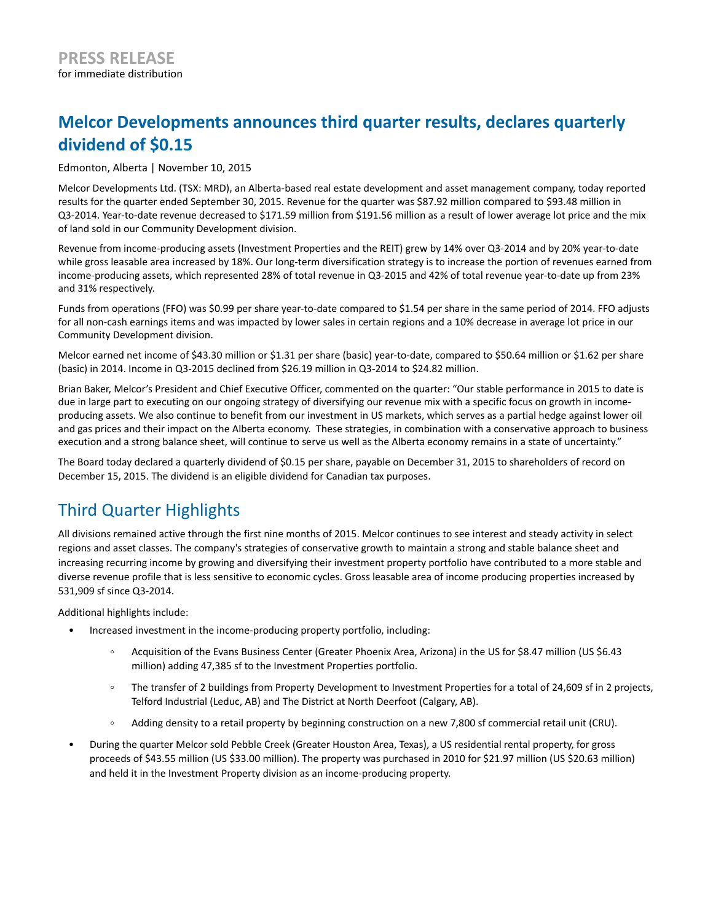# **Melcor Developments announces third quarter results, declares quarterly dividend of \$0.15**

### Edmonton, Alberta | November 10, 2015

Melcor Developments Ltd. (TSX: MRD), an Alberta-based real estate development and asset management company, today reported results for the quarter ended September 30, 2015. Revenue for the quarter was \$87.92 million compared to \$93.48 million in Q3-2014. Year-to-date revenue decreased to \$171.59 million from \$191.56 million as a result of lower average lot price and the mix of land sold in our Community Development division.

Revenue from income-producing assets (Investment Properties and the REIT) grew by 14% over Q3-2014 and by 20% year-to-date while gross leasable area increased by 18%. Our long-term diversification strategy is to increase the portion of revenues earned from income-producing assets, which represented 28% of total revenue in Q3-2015 and 42% of total revenue year-to-date up from 23% and 31% respectively.

Funds from operations (FFO) was \$0.99 per share year-to-date compared to \$1.54 per share in the same period of 2014. FFO adjusts for all non-cash earnings items and was impacted by lower sales in certain regions and a 10% decrease in average lot price in our Community Development division.

Melcor earned net income of \$43.30 million or \$1.31 per share (basic) year-to-date, compared to \$50.64 million or \$1.62 per share (basic) in 2014. Income in Q3-2015 declined from \$26.19 million in Q3-2014 to \$24.82 million.

Brian Baker, Melcor's President and Chief Executive Officer, commented on the quarter: "Our stable performance in 2015 to date is due in large part to executing on our ongoing strategy of diversifying our revenue mix with a specific focus on growth in incomeproducing assets. We also continue to benefit from our investment in US markets, which serves as a partial hedge against lower oil and gas prices and their impact on the Alberta economy. These strategies, in combination with a conservative approach to business execution and a strong balance sheet, will continue to serve us well as the Alberta economy remains in a state of uncertainty."

The Board today declared a quarterly dividend of \$0.15 per share, payable on December 31, 2015 to shareholders of record on December 15, 2015. The dividend is an eligible dividend for Canadian tax purposes.

## Third Quarter Highlights

All divisions remained active through the first nine months of 2015. Melcor continues to see interest and steady activity in select regions and asset classes. The company's strategies of conservative growth to maintain a strong and stable balance sheet and increasing recurring income by growing and diversifying their investment property portfolio have contributed to a more stable and diverse revenue profile that is less sensitive to economic cycles. Gross leasable area of income producing properties increased by 531,909 sf since Q3-2014.

Additional highlights include:

- Increased investment in the income-producing property portfolio, including:
	- Acquisition of the Evans Business Center (Greater Phoenix Area, Arizona) in the US for \$8.47 million (US \$6.43  $\circ$ million) adding 47,385 sf to the Investment Properties portfolio.
	- The transfer of 2 buildings from Property Development to Investment Properties for a total of 24,609 sf in 2 projects,  $\circ$ Telford Industrial (Leduc, AB) and The District at North Deerfoot (Calgary, AB).
	- Adding density to a retail property by beginning construction on a new 7,800 sf commercial retail unit (CRU).  $\circ$
- During the quarter Melcor sold Pebble Creek (Greater Houston Area, Texas), a US residential rental property, for gross proceeds of \$43.55 million (US \$33.00 million). The property was purchased in 2010 for \$21.97 million (US \$20.63 million) and held it in the Investment Property division as an income-producing property.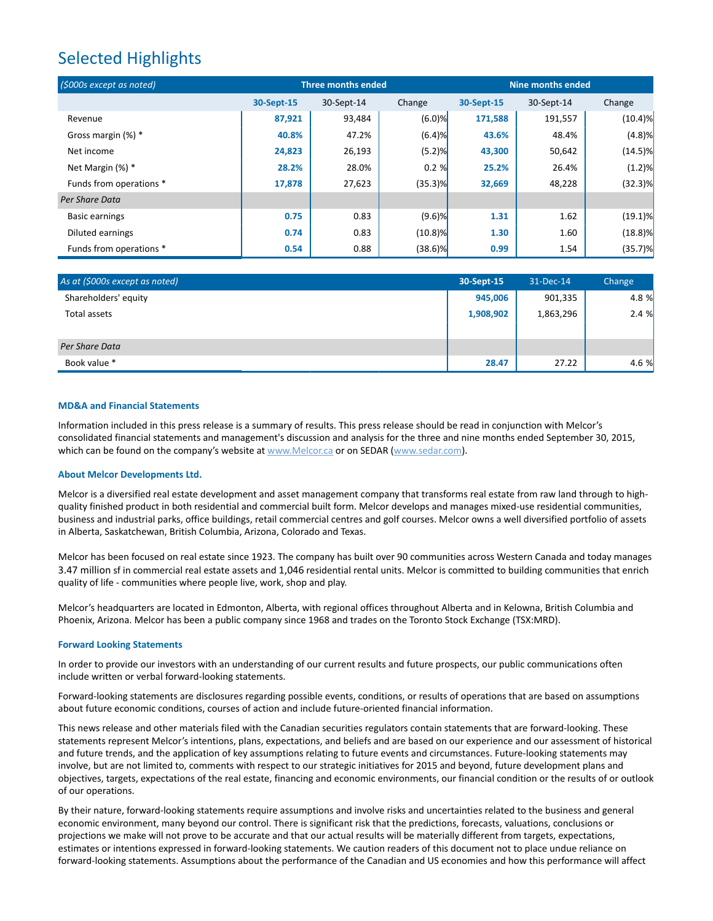## Selected Highlights

| (\$000s except as noted) | <b>Three months ended</b> |            |            | Nine months ended |            |            |
|--------------------------|---------------------------|------------|------------|-------------------|------------|------------|
|                          | 30-Sept-15                | 30-Sept-14 | Change     | 30-Sept-15        | 30-Sept-14 | Change     |
| Revenue                  | 87,921                    | 93,484     | $(6.0)$ %  | 171,588           | 191,557    | $(10.4)$ % |
| Gross margin (%) *       | 40.8%                     | 47.2%      | (6.4)%     | 43.6%             | 48.4%      | $(4.8)$ %  |
| Net income               | 24,823                    | 26,193     | (5.2)%     | 43,300            | 50,642     | $(14.5)\%$ |
| Net Margin (%) *         | 28.2%                     | 28.0%      | 0.2%       | 25.2%             | 26.4%      | (1.2)%     |
| Funds from operations *  | 17,878                    | 27,623     | $(35.3)$ % | 32,669            | 48,228     | $(32.3)$ % |
| Per Share Data           |                           |            |            |                   |            |            |
| <b>Basic earnings</b>    | 0.75                      | 0.83       | $(9.6)$ %  | 1.31              | 1.62       | $(19.1)\%$ |
| Diluted earnings         | 0.74                      | 0.83       | $(10.8)$ % | 1.30              | 1.60       | $(18.8)$ % |
| Funds from operations *  | 0.54                      | 0.88       | $(38.6)$ % | 0.99              | 1.54       | (35.7)%    |

| As at (\$000s except as noted) | 30-Sept-15 | 31-Dec-14 | Change |
|--------------------------------|------------|-----------|--------|
| Shareholders' equity           | 945,006    | 901,335   | 4.8 %  |
| Total assets                   | 1,908,902  | 1,863,296 | 2.4%   |
| Per Share Data                 |            |           |        |
| Book value *                   | 28.47      | 27.22     | 4.6 %  |

#### **MD&A and Financial Statements**

Information included in this press release is a summary of results. This press release should be read in conjunction with Melcor's consolidated financial statements and management's discussion and analysis for the three and nine months ended September 30, 2015, which can be found on the company's website at www.Melcor.ca or on SEDAR (www.sedar.com).

#### **About Melcor Developments Ltd.**

Melcor is a diversified real estate development and asset management company that transforms real estate from raw land through to highquality finished product in both residential and commercial built form. Melcor develops and manages mixed-use residential communities, business and industrial parks, office buildings, retail commercial centres and golf courses. Melcor owns a well diversified portfolio of assets in Alberta, Saskatchewan, British Columbia, Arizona, Colorado and Texas.

Melcor has been focused on real estate since 1923. The company has built over 90 communities across Western Canada and today manages 3.47 million sf in commercial real estate assets and 1,046 residential rental units. Melcor is committed to building communities that enrich quality of life - communities where people live, work, shop and play.

Melcor's headquarters are located in Edmonton, Alberta, with regional offices throughout Alberta and in Kelowna, British Columbia and Phoenix, Arizona. Melcor has been a public company since 1968 and trades on the Toronto Stock Exchange (TSX:MRD).

#### **Forward Looking Statements**

In order to provide our investors with an understanding of our current results and future prospects, our public communications often include written or verbal forward-looking statements.

Forward-looking statements are disclosures regarding possible events, conditions, or results of operations that are based on assumptions about future economic conditions, courses of action and include future-oriented financial information.

This news release and other materials filed with the Canadian securities regulators contain statements that are forward-looking. These statements represent Melcor's intentions, plans, expectations, and beliefs and are based on our experience and our assessment of historical and future trends, and the application of key assumptions relating to future events and circumstances. Future-looking statements may involve, but are not limited to, comments with respect to our strategic initiatives for 2015 and beyond, future development plans and objectives, targets, expectations of the real estate, financing and economic environments, our financial condition or the results of or outlook of our operations.

By their nature, forward-looking statements require assumptions and involve risks and uncertainties related to the business and general economic environment, many beyond our control. There is significant risk that the predictions, forecasts, valuations, conclusions or projections we make will not prove to be accurate and that our actual results will be materially different from targets, expectations, estimates or intentions expressed in forward-looking statements. We caution readers of this document not to place undue reliance on forward-looking statements. Assumptions about the performance of the Canadian and US economies and how this performance will affect